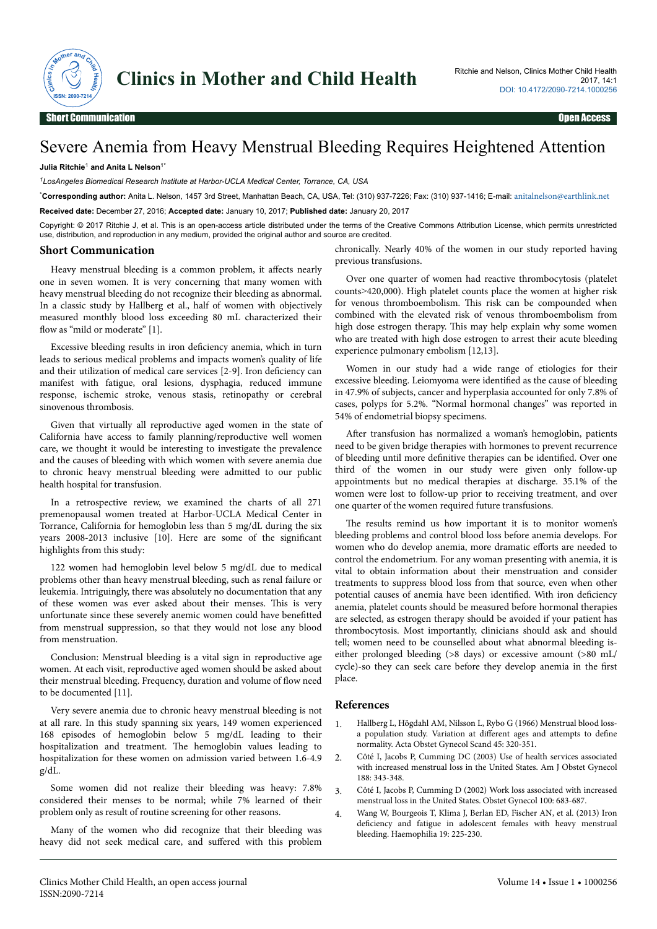

## Severe Anemia from Heavy Menstrual Bleeding Requires Heightened Attention

## **Julia Ritchie**<sup>1</sup>  **and Anita L Nelson**1\*

*<sup>1</sup>LosAngeles Biomedical Research Institute at Harbor-UCLA Medical Center, Torrance, CA, USA*

\***Corresponding author:** Anita L. Nelson, 1457 3rd Street, Manhattan Beach, CA, USA, Tel: (310) 937-7226; Fax: (310) 937-1416; E-mail: [anitalnelson@earthlink.net](mailto:anitalnelson@earthlink.net) **Received date:** December 27, 2016; **Accepted date:** January 10, 2017; **Published date:** January 20, 2017

Copyright: © 2017 Ritchie J, et al. This is an open-access article distributed under the terms of the Creative Commons Attribution License, which permits unrestricted use, distribution, and reproduction in any medium, provided the original author and source are credited.

## **Short Communication**

Heavy menstrual bleeding is a common problem, it affects nearly one in seven women. It is very concerning that many women with heavy menstrual bleeding do not recognize their bleeding as abnormal. In a classic study by Hallberg et al., half of women with objectively measured monthly blood loss exceeding 80 mL characterized their flow as "mild or moderate" [1].

Excessive bleeding results in iron deficiency anemia, which in turn leads to serious medical problems and impacts women's quality of life and their utilization of medical care services [2-9]. Iron deficiency can manifest with fatigue, oral lesions, dysphagia, reduced immune response, ischemic stroke, venous stasis, retinopathy or cerebral sinovenous thrombosis.

Given that virtually all reproductive aged women in the state of California have access to family planning/reproductive well women care, we thought it would be interesting to investigate the prevalence and the causes of bleeding with which women with severe anemia due to chronic heavy menstrual bleeding were admitted to our public health hospital for transfusion.

In a retrospective review, we examined the charts of all 271 premenopausal women treated at Harbor-UCLA Medical Center in Torrance, California for hemoglobin less than 5 mg/dL during the six years 2008-2013 inclusive [10]. Here are some of the significant highlights from this study:

122 women had hemoglobin level below 5 mg/dL due to medical problems other than heavy menstrual bleeding, such as renal failure or leukemia. Intriguingly, there was absolutely no documentation that any of these women was ever asked about their menses. This is very unfortunate since these severely anemic women could have benefitted from menstrual suppression, so that they would not lose any blood from menstruation.

Conclusion: Menstrual bleeding is a vital sign in reproductive age women. At each visit, reproductive aged women should be asked about their menstrual bleeding. Frequency, duration and volume of flow need to be documented [11].

Very severe anemia due to chronic heavy menstrual bleeding is not at all rare. In this study spanning six years, 149 women experienced 168 episodes of hemoglobin below 5 mg/dL leading to their hospitalization and treatment. The hemoglobin values leading to hospitalization for these women on admission varied between 1.6-4.9 g/dL.

Some women did not realize their bleeding was heavy: 7.8% considered their menses to be normal; while 7% learned of their problem only as result of routine screening for other reasons.

Many of the women who did recognize that their bleeding was heavy did not seek medical care, and suffered with this problem

chronically. Nearly 40% of the women in our study reported having previous transfusions.

Over one quarter of women had reactive thrombocytosis (platelet counts˃420,000). High platelet counts place the women at higher risk for venous thromboembolism. This risk can be compounded when combined with the elevated risk of venous thromboembolism from high dose estrogen therapy. This may help explain why some women who are treated with high dose estrogen to arrest their acute bleeding experience pulmonary embolism [12,13].

Women in our study had a wide range of etiologies for their excessive bleeding. Leiomyoma were identified as the cause of bleeding in 47.9% of subjects, cancer and hyperplasia accounted for only 7.8% of cases, polyps for 5.2%. "Normal hormonal changes" was reported in 54% of endometrial biopsy specimens.

After transfusion has normalized a woman's hemoglobin, patients need to be given bridge therapies with hormones to prevent recurrence of bleeding until more definitive therapies can be identified. Over one third of the women in our study were given only follow-up appointments but no medical therapies at discharge. 35.1% of the women were lost to follow-up prior to receiving treatment, and over one quarter of the women required future transfusions.

The results remind us how important it is to monitor women's bleeding problems and control blood loss before anemia develops. For women who do develop anemia, more dramatic efforts are needed to control the endometrium. For any woman presenting with anemia, it is vital to obtain information about their menstruation and consider treatments to suppress blood loss from that source, even when other potential causes of anemia have been identified. With iron deficiency anemia, platelet counts should be measured before hormonal therapies are selected, as estrogen therapy should be avoided if your patient has thrombocytosis. Most importantly, clinicians should ask and should tell; women need to be counselled about what abnormal bleeding iseither prolonged bleeding (>8 days) or excessive amount (>80 mL/ cycle)-so they can seek care before they develop anemia in the first place.

## **References**

- 1. [Hallberg L, Högdahl AM, Nilsson L, Rybo G \(1966\) Menstrual blood loss](http://dx.doi.org/10.3109/00016346609158455)[a population study. Variation at](http://dx.doi.org/10.3109/00016346609158455) different ages and attempts to define [normality. Acta Obstet Gynecol Scand 45: 320-351.](http://dx.doi.org/10.3109/00016346609158455)
- 2. [Côté I, Jacobs P, Cumming DC \(2003\) Use of health services associated](http://dx.doi.org/10.1067/mob.2003.92) [with increased menstrual loss in the United States. Am J Obstet Gynecol](http://dx.doi.org/10.1067/mob.2003.92) [188: 343-348.](http://dx.doi.org/10.1067/mob.2003.92)
- 3. Côté I, Jacobs P, Cumming D (2002) Work loss associated with increased menstrual loss in the United States. Obstet Gynecol 100: 683-687.
- 4. [Wang W, Bourgeois T, Klima J, Berlan ED, Fischer AN, et al. \(2013\) Iron](https://dx.doi.org/10.1111/hae.12046) deficiency [and fatigue in adolescent females with heavy menstrual](https://dx.doi.org/10.1111/hae.12046) [bleeding. Haemophilia 19: 225-230.](https://dx.doi.org/10.1111/hae.12046)